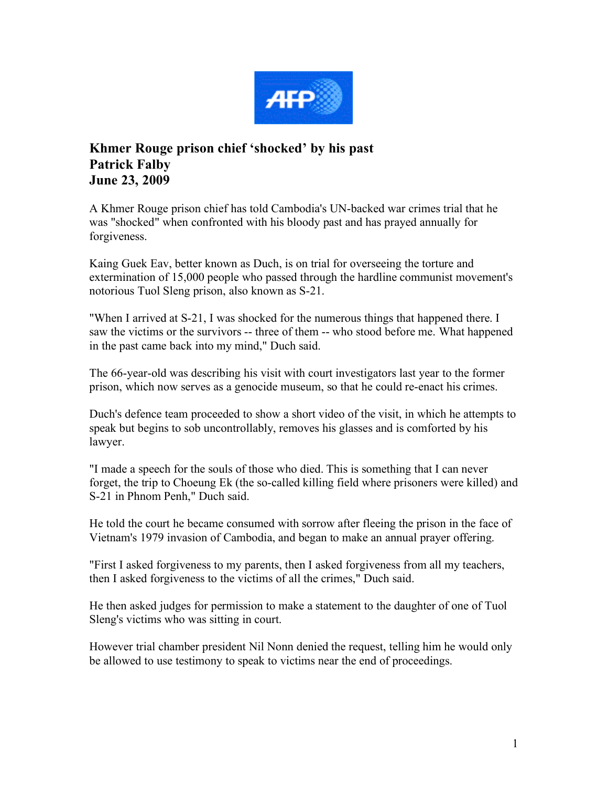

## **Khmer Rouge prison chief 'shocked' by his past Patrick Falby June 23, 2009**

A Khmer Rouge prison chief has told Cambodia's UN-backed war crimes trial that he was "shocked" when confronted with his bloody past and has prayed annually for forgiveness.

Kaing Guek Eav, better known as Duch, is on trial for overseeing the torture and extermination of 15,000 people who passed through the hardline communist movement's notorious Tuol Sleng prison, also known as S-21.

"When I arrived at S-21, I was shocked for the numerous things that happened there. I saw the victims or the survivors -- three of them -- who stood before me. What happened in the past came back into my mind," Duch said.

The 66-year-old was describing his visit with court investigators last year to the former prison, which now serves as a genocide museum, so that he could re-enact his crimes.

Duch's defence team proceeded to show a short video of the visit, in which he attempts to speak but begins to sob uncontrollably, removes his glasses and is comforted by his lawyer.

"I made a speech for the souls of those who died. This is something that I can never forget, the trip to Choeung Ek (the so-called killing field where prisoners were killed) and S-21 in Phnom Penh," Duch said.

He told the court he became consumed with sorrow after fleeing the prison in the face of Vietnam's 1979 invasion of Cambodia, and began to make an annual prayer offering.

"First I asked forgiveness to my parents, then I asked forgiveness from all my teachers, then I asked forgiveness to the victims of all the crimes," Duch said.

He then asked judges for permission to make a statement to the daughter of one of Tuol Sleng's victims who was sitting in court.

However trial chamber president Nil Nonn denied the request, telling him he would only be allowed to use testimony to speak to victims near the end of proceedings.